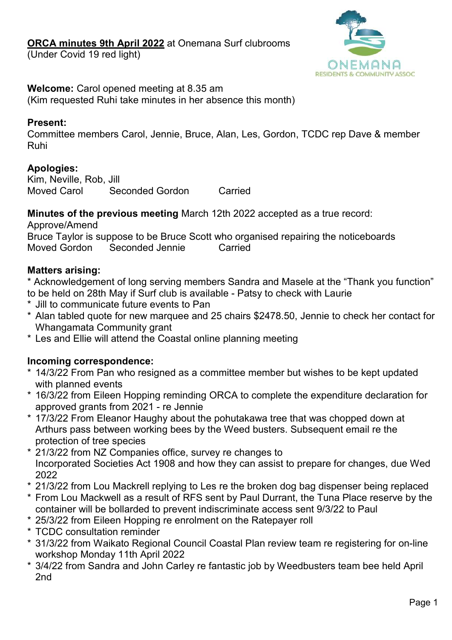**ORCA minutes 9th April 2022** at Onemana Surf clubrooms

(Under Covid 19 red light)



**Welcome:** Carol opened meeting at 8.35 am

(Kim requested Ruhi take minutes in her absence this month)

#### **Present:**

Committee members Carol, Jennie, Bruce, Alan, Les, Gordon, TCDC rep Dave & member Ruhi

## **Apologies:**

Kim, Neville, Rob, Jill Moved Carol Seconded Gordon Carried

# **Minutes of the previous meeting** March 12th 2022 accepted as a true record:

Approve/Amend Bruce Taylor is suppose to be Bruce Scott who organised repairing the noticeboards Moved Gordon Seconded Jennie Carried

## **Matters arising:**

\* Acknowledgement of long serving members Sandra and Masele at the "Thank you function" to be held on 28th May if Surf club is available - Patsy to check with Laurie

- \* Jill to communicate future events to Pan
- \* Alan tabled quote for new marquee and 25 chairs \$2478.50, Jennie to check her contact for Whangamata Community grant
- \* Les and Ellie will attend the Coastal online planning meeting

## **Incoming correspondence:**

- \* 14/3/22 From Pan who resigned as a committee member but wishes to be kept updated with planned events
- \* 16/3/22 from Eileen Hopping reminding ORCA to complete the expenditure declaration for approved grants from 2021 - re Jennie
- \* 17/3/22 From Eleanor Haughy about the pohutakawa tree that was chopped down at Arthurs pass between working bees by the Weed busters. Subsequent email re the protection of tree species
- \* 21/3/22 from NZ Companies office, survey re changes to Incorporated Societies Act 1908 and how they can assist to prepare for changes, due Wed 2022
- \* 21/3/22 from Lou Mackrell replying to Les re the broken dog bag dispenser being replaced
- \* From Lou Mackwell as a result of RFS sent by Paul Durrant, the Tuna Place reserve by the container will be bollarded to prevent indiscriminate access sent 9/3/22 to Paul
- \* 25/3/22 from Eileen Hopping re enrolment on the Ratepayer roll
- \* TCDC consultation reminder
- \* 31/3/22 from Waikato Regional Council Coastal Plan review team re registering for on-line workshop Monday 11th April 2022
- \* 3/4/22 from Sandra and John Carley re fantastic job by Weedbusters team bee held April 2nd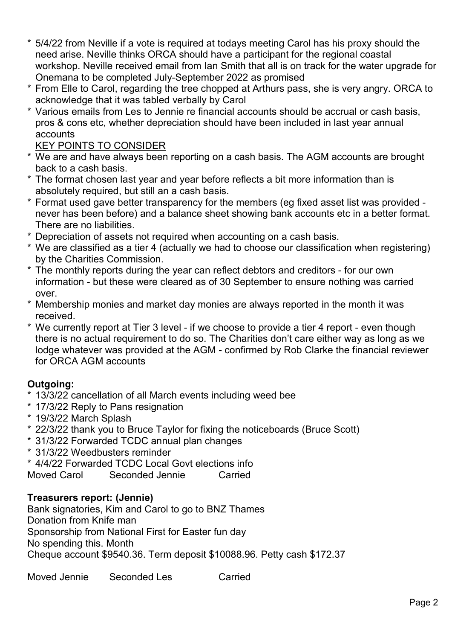- \* 5/4/22 from Neville if a vote is required at todays meeting Carol has his proxy should the need arise. Neville thinks ORCA should have a participant for the regional coastal workshop. Neville received email from Ian Smith that all is on track for the water upgrade for Onemana to be completed July-September 2022 as promised
- \* From Elle to Carol, regarding the tree chopped at Arthurs pass, she is very angry. ORCA to acknowledge that it was tabled verbally by Carol
- \* Various emails from Les to Jennie re financial accounts should be accrual or cash basis, pros & cons etc, whether depreciation should have been included in last year annual accounts

#### KEY POINTS TO CONSIDER

- \* We are and have always been reporting on a cash basis. The AGM accounts are brought back to a cash basis.
- \* The format chosen last year and year before reflects a bit more information than is absolutely required, but still an a cash basis.
- \* Format used gave better transparency for the members (eg fixed asset list was provided never has been before) and a balance sheet showing bank accounts etc in a better format. There are no liabilities.
- \* Depreciation of assets not required when accounting on a cash basis.
- \* We are classified as a tier 4 (actually we had to choose our classification when registering) by the Charities Commission.
- \* The monthly reports during the year can reflect debtors and creditors for our own information - but these were cleared as of 30 September to ensure nothing was carried over.
- \* Membership monies and market day monies are always reported in the month it was received.
- \* We currently report at Tier 3 level if we choose to provide a tier 4 report even though there is no actual requirement to do so. The Charities don't care either way as long as we lodge whatever was provided at the AGM - confirmed by Rob Clarke the financial reviewer for ORCA AGM accounts

## **Outgoing:**

- \* 13/3/22 cancellation of all March events including weed bee
- \* 17/3/22 Reply to Pans resignation
- \* 19/3/22 March Splash
- \* 22/3/22 thank you to Bruce Taylor for fixing the noticeboards (Bruce Scott)
- \* 31/3/22 Forwarded TCDC annual plan changes
- \* 31/3/22 Weedbusters reminder
- \* 4/4/22 Forwarded TCDC Local Govt elections info

Moved Carol Seconded Jennie Carried

#### **Treasurers report: (Jennie)**

Bank signatories, Kim and Carol to go to BNZ Thames Donation from Knife man Sponsorship from National First for Easter fun day No spending this. Month Cheque account \$9540.36. Term deposit \$10088.96. Petty cash \$172.37

Moved Jennie Seconded Les Carried